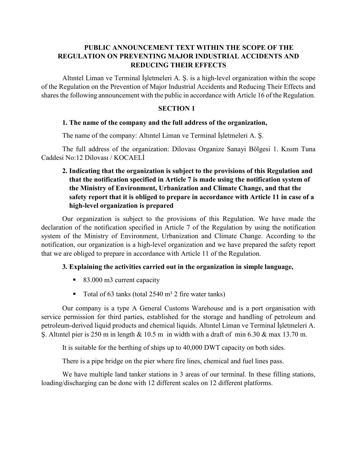# **PUBLIC ANNOUNCEMENT TEXT WITHIN THE SCOPE OF THE REGULATION ON PREVENTING MAJOR INDUSTRIAL ACCIDENTS AND REDUCING THEIR EFFECTS**

Altıntel Liman ve Terminal İşletmeleri A. Ş. is a high-level organization within the scope of the Regulation on the Prevention of Major Industrial Accidents and Reducing Their Effects and shares the following announcement with the public in accordance with Article 16 of the Regulation.

## **SECTION 1**

## **1. The name of the company and the full address of the organization,**

The name of the company: Altıntel Liman ve Terminal İşletmeleri A. Ş.

The full address of the organization: Dilovası Organize Sanayi Bölgesi 1. Kısım Tuna Caddesi No:12 Dilovası / KOCAELİ

# **2. Indicating that the organization is subject to the provisions of this Regulation and that the notification specified in Article 7 is made using the notification system of the Ministry of Environment, Urbanization and Climate Change, and that the safety report that it is obliged to prepare in accordance with Article 11 in case of a high-level organization is prepared**

Our organization is subject to the provisions of this Regulation. We have made the declaration of the notification specified in Article 7 of the Regulation by using the notification system of the Ministry of Environment, Urbanization and Climate Change. According to the notification, our organization is a high-level organization and we have prepared the safety report that we are obliged to prepare in accordance with Article 11 of the Regulation.

## **3. Explaining the activities carried out in the organization in simple language,**

- 83.000 m3 current capacity
- Total of 63 tanks (total  $2540 \text{ m}^3$  2 fire water tanks)

Our company is a type A General Customs Warehouse and is a port organisation with service permission for third parties, established for the storage and handling of petroleum and petroleum-derived liquid products and chemical liquids. Altıntel Liman ve Terminal İşletmeleri A. Ş. Altıntel pier is 250 m in length & 10.5 m in width with a draft of min 6.30 & max 13.70 m.

It is suitable for the berthing of ships up to 40,000 DWT capacity on both sides.

There is a pipe bridge on the pier where fire lines, chemical and fuel lines pass.

We have multiple land tanker stations in 3 areas of our terminal. In these filling stations, loading/discharging can be done with 12 different scales on 12 different platforms.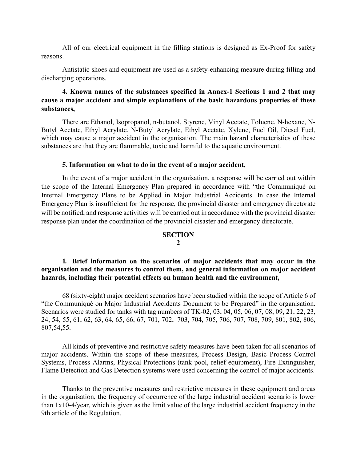All of our electrical equipment in the filling stations is designed as Ex-Proof for safety reasons.

Antistatic shoes and equipment are used as a safety-enhancing measure during filling and discharging operations.

# **4. Known names of the substances specified in Annex-1 Sections 1 and 2 that may cause a major accident and simple explanations of the basic hazardous properties of these substances,**

There are Ethanol, Isopropanol, n-butanol, Styrene, Vinyl Acetate, Toluene, N-hexane, N-Butyl Acetate, Ethyl Acrylate, N-Butyl Acrylate, Ethyl Acetate, Xylene, Fuel Oil, Diesel Fuel, which may cause a major accident in the organisation. The main hazard characteristics of these substances are that they are flammable, toxic and harmful to the aquatic environment.

#### **5. Information on what to do in the event of a major accident,**

In the event of a major accident in the organisation, a response will be carried out within the scope of the Internal Emergency Plan prepared in accordance with "the Communiqué on Internal Emergency Plans to be Applied in Major Industrial Accidents. In case the Internal Emergency Plan is insufficient for the response, the provincial disaster and emergency directorate will be notified, and response activities will be carried out in accordance with the provincial disaster response plan under the coordination of the provincial disaster and emergency directorate.

# **SECTION**

#### **2**

**1. Brief information on the scenarios of major accidents that may occur in the organisation and the measures to control them, and general information on major accident hazards, including their potential effects on human health and the environment,**

68 (sixty-eight) major accident scenarios have been studied within the scope of Article 6 of "the Communiqué on Major Industrial Accidents Document to be Prepared" in the organisation. Scenarios were studied for tanks with tag numbers of TK-02, 03, 04, 05, 06, 07, 08, 09, 21, 22, 23, 24, 54, 55, 61, 62, 63, 64, 65, 66, 67, 701, 702, 703, 704, 705, 706, 707, 708, 709, 801, 802, 806, 807,54,55.

All kinds of preventive and restrictive safety measures have been taken for all scenarios of major accidents. Within the scope of these measures, Process Design, Basic Process Control Systems, Process Alarms, Physical Protections (tank pool, relief equipment), Fire Extinguisher, Flame Detection and Gas Detection systems were used concerning the control of major accidents.

Thanks to the preventive measures and restrictive measures in these equipment and areas in the organisation, the frequency of occurrence of the large industrial accident scenario is lower than 1x10-4/year, which is given as the limit value of the large industrial accident frequency in the 9th article of the Regulation.